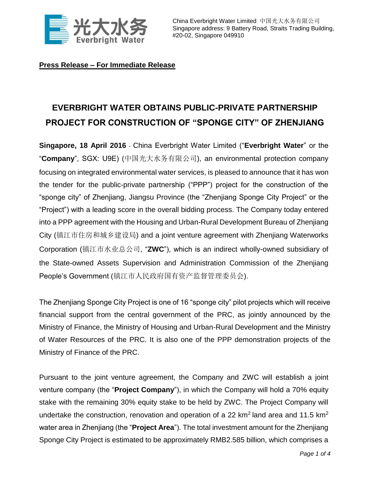

China Everbright Water Limited 中国光大水务有限公司 Singapore address: 9 Battery Road, Straits Trading Building, #20-02, Singapore 049910

**Press Release – For Immediate Release**

## **EVERBRIGHT WATER OBTAINS PUBLIC-PRIVATE PARTNERSHIP PROJECT FOR CONSTRUCTION OF "SPONGE CITY" OF ZHENJIANG**

**Singapore, 18 April 2016** - China Everbright Water Limited ("**Everbright Water**" or the "**Company**", SGX: U9E) (中国光大水务有限公司), an environmental protection company focusing on integrated environmental water services, is pleased to announce that it has won the tender for the public-private partnership ("PPP") project for the construction of the "sponge city" of Zhenjiang, Jiangsu Province (the "Zhenjiang Sponge City Project" or the "Project") with a leading score in the overall bidding process. The Company today entered into a PPP agreement with the Housing and Urban-Rural Development Bureau of Zhenjiang City (镇江市住房和城乡建设局) and a joint venture agreement with Zhenjiang Waterworks Corporation (镇江市水业总公司, "**ZWC**"), which is an indirect wholly-owned subsidiary of the State-owned Assets Supervision and Administration Commission of the Zhenjiang People's Government (镇江市人民政府国有资产监督管理委员会).

The Zhenjiang Sponge City Project is one of 16 "sponge city" pilot projects which will receive financial support from the central government of the PRC, as jointly announced by the Ministry of Finance, the Ministry of Housing and Urban-Rural Development and the Ministry of Water Resources of the PRC. It is also one of the PPP demonstration projects of the Ministry of Finance of the PRC.

Pursuant to the joint venture agreement, the Company and ZWC will establish a joint venture company (the "**Project Company**"), in which the Company will hold a 70% equity stake with the remaining 30% equity stake to be held by ZWC. The Project Company will undertake the construction, renovation and operation of a 22 km<sup>2</sup> land area and 11.5 km<sup>2</sup> water area in Zhenjiang (the "**Project Area**"). The total investment amount for the Zhenjiang Sponge City Project is estimated to be approximately RMB2.585 billion, which comprises a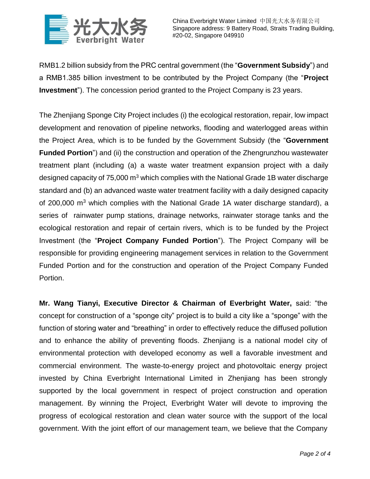

RMB1.2 billion subsidy from the PRC central government (the "**Government Subsidy**") and a RMB1.385 billion investment to be contributed by the Project Company (the "**Project Investment**"). The concession period granted to the Project Company is 23 years.

The Zhenjiang Sponge City Project includes (i) the ecological restoration, repair, low impact development and renovation of pipeline networks, flooding and waterlogged areas within the Project Area, which is to be funded by the Government Subsidy (the "**Government Funded Portion**") and (ii) the construction and operation of the Zhengrunzhou wastewater treatment plant (including (a) a waste water treatment expansion project with a daily designed capacity of  $75,000$  m<sup>3</sup> which complies with the National Grade 1B water discharge standard and (b) an advanced waste water treatment facility with a daily designed capacity of 200,000  $m<sup>3</sup>$  which complies with the National Grade 1A water discharge standard), a series of rainwater pump stations, drainage networks, rainwater storage tanks and the ecological restoration and repair of certain rivers, which is to be funded by the Project Investment (the "**Project Company Funded Portion**"). The Project Company will be responsible for providing engineering management services in relation to the Government Funded Portion and for the construction and operation of the Project Company Funded Portion.

**Mr. Wang Tianyi, Executive Director & Chairman of Everbright Water,** said: "the concept for construction of a "sponge city" project is to build a city like a "sponge" with the function of storing water and "breathing" in order to effectively reduce the diffused pollution and to enhance the ability of preventing floods. Zhenjiang is a national model city of environmental protection with developed economy as well a favorable investment and commercial environment. The waste-to-energy project and photovoltaic energy project invested by China Everbright International Limited in Zhenjiang has been strongly supported by the local government in respect of project construction and operation management. By winning the Project, Everbright Water will devote to improving the progress of ecological restoration and clean water source with the support of the local government. With the joint effort of our management team, we believe that the Company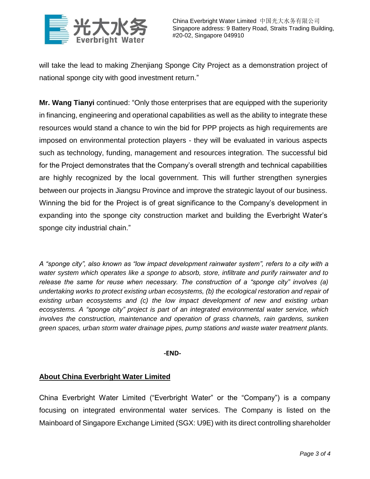

will take the lead to making Zhenjiang Sponge City Project as a demonstration project of national sponge city with good investment return."

**Mr. Wang Tianyi** continued: "Only those enterprises that are equipped with the superiority in financing, engineering and operational capabilities as well as the ability to integrate these resources would stand a chance to win the bid for PPP projects as high requirements are imposed on environmental protection players - they will be evaluated in various aspects such as technology, funding, management and resources integration. The successful bid for the Project demonstrates that the Company's overall strength and technical capabilities are highly recognized by the local government. This will further strengthen synergies between our projects in Jiangsu Province and improve the strategic layout of our business. Winning the bid for the Project is of great significance to the Company's development in expanding into the sponge city construction market and building the Everbright Water's sponge city industrial chain."

*A "sponge city", also known as "low impact development rainwater system", refers to a city with a water system which operates like a sponge to absorb, store, infiltrate and purify rainwater and to release the same for reuse when necessary. The construction of a "sponge city" involves (a) undertaking works to protect existing urban ecosystems, (b) the ecological restoration and repair of existing urban ecosystems and (c) the low impact development of new and existing urban ecosystems. A "sponge city" project is part of an integrated environmental water service, which involves the construction, maintenance and operation of grass channels, rain gardens, sunken green spaces, urban storm water drainage pipes, pump stations and waste water treatment plants.*

## **-END-**

## **About China Everbright Water Limited**

China Everbright Water Limited ("Everbright Water" or the "Company") is a company focusing on integrated environmental water services. The Company is listed on the Mainboard of Singapore Exchange Limited (SGX: U9E) with its direct controlling shareholder